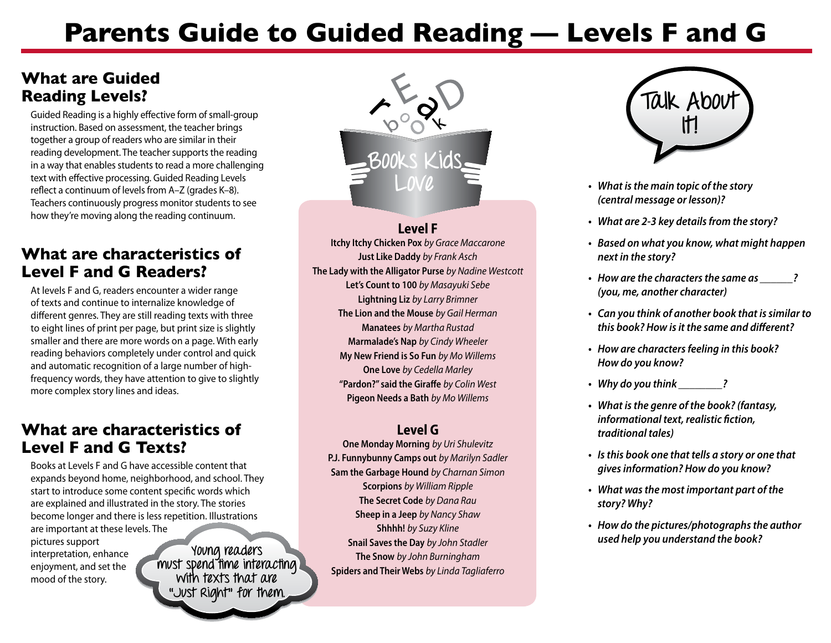# **Parents Guide to Guided Reading — Levels F and G**

# **What are Guided Reading Levels?**

Guided Reading is a highly effective form of small-group instruction. Based on assessment, the teacher brings together a group of readers who are similar in their reading development. The teacher supports the reading in a way that enables students to read a more challenging text with effective processing. Guided Reading Levels reflect a continuum of levels from A–Z (grades K–8). Teachers continuously progress monitor students to see how they're moving along the reading continuum.

# **What are characteristics of Level F and G Readers?**

At levels F and G, readers encounter a wider range of texts and continue to internalize knowledge of different genres. They are still reading texts with three to eight lines of print per page, but print size is slightly smaller and there are more words on a page. With early reading behaviors completely under control and quick and automatic recognition of a large number of highfrequency words, they have attention to give to slightly more complex story lines and ideas.

# **What are characteristics of Level F and G Texts?**

Books at Levels F and G have accessible content that expands beyond home, neighborhood, and school. They start to introduce some content specific words which are explained and illustrated in the story. The stories become longer and there is less repetition. Illustrations are important at these levels. The pictures support interpretation, enhance enjoyment, and set the mood of the story. **Young readers must spend time interacting with texts that are "Just Right" for them.** 



### **Level F**

**Itchy Itchy Chicken Pox** *by Grace Maccarone*  **Just Like Daddy** *by Frank Asch*  **The Lady with the Alligator Purse** *by Nadine Westcott* **Let's Count to 100** *by Masayuki Sebe* **Lightning Liz** *by Larry Brimner*  **The Lion and the Mouse** *by Gail Herman*  **Manatees** *by Martha Rustad*  **Marmalade's Nap** *by Cindy Wheeler*  **My New Friend is So Fun** *by Mo Willems* **One Love** *by Cedella Marley* **"Pardon?" said the Giraffe** *by Colin West* **Pigeon Needs a Bath** *by Mo Willems* 

#### **Level G**

**One Monday Morning** *by Uri Shulevitz*  **P.J. Funnybunny Camps out** *by Marilyn Sadler*  **Sam the Garbage Hound** *by Charnan Simon*  **Scorpions** *by William Ripple*  **The Secret Code** *by Dana Rau*  **Sheep in a Jeep** *by Nancy Shaw*  **Shhhh!** *by Suzy Kline*  **Snail Saves the Day** *by John Stadler*  **The Snow** *by John Burningham*  **Spiders and Their Webs** *by Linda Tagliaferro*



- **• What isthe main topic of the story (central message or lesson)?**
- **• What are 2-3 key detailsfrom the story?**
- **• Based on what you know, what might happen next in the story?**
- **•** How are the characters the same as  $\qquad$  ? **(you, me, another character)**
- **• Can you think of another book that issimilar to this book? How isit the same and different?**
- **• How are charactersfeeling in this book? How do you know?**
- **• Why do you think \_\_\_\_\_\_\_\_?**
- **• What isthe genre of the book? (fantasy, informational text, realistic fiction, traditional tales)**
- **• Isthis book one that tells a story or one that givesinformation? How do you know?**
- **• What wasthe most important part of the story? Why?**
- **• How do the pictures/photographsthe author used help you understand the book?**